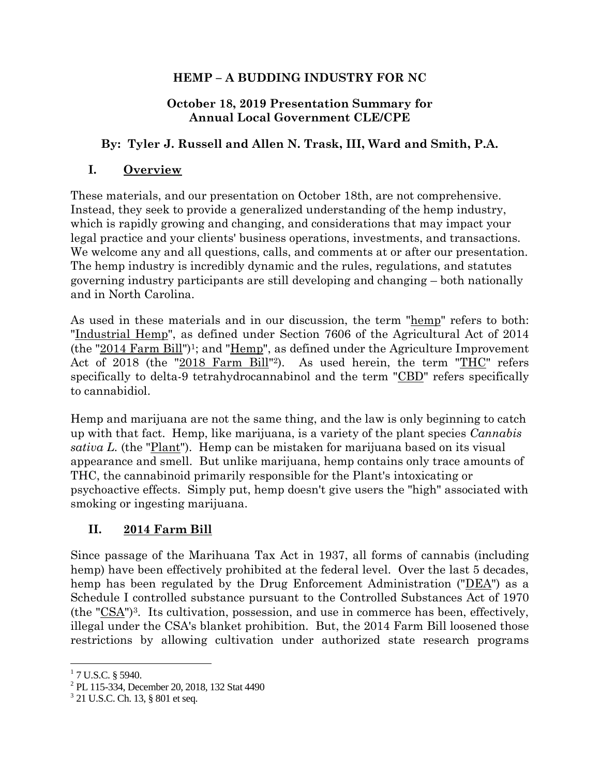#### **HEMP – A BUDDING INDUSTRY FOR NC**

#### **October 18, 2019 Presentation Summary for Annual Local Government CLE/CPE**

#### **By: Tyler J. Russell and Allen N. Trask, III, Ward and Smith, P.A.**

#### **I. Overview**

These materials, and our presentation on October 18th, are not comprehensive. Instead, they seek to provide a generalized understanding of the hemp industry, which is rapidly growing and changing, and considerations that may impact your legal practice and your clients' business operations, investments, and transactions. We welcome any and all questions, calls, and comments at or after our presentation. The hemp industry is incredibly dynamic and the rules, regulations, and statutes governing industry participants are still developing and changing – both nationally and in North Carolina.

As used in these materials and in our discussion, the term "hemp" refers to both: "Industrial Hemp", as defined under Section 7606 of the Agricultural Act of 2014 (the " $2014$  Farm Bill")<sup>1</sup>; and " $\underline{Hemp}$ ", as defined under the Agriculture Improvement Act of 2018 (the "2018 Farm Bill"<sup>2</sup>). As used herein, the term "THC" refers specifically to delta-9 tetrahydrocannabinol and the term "CBD" refers specifically to cannabidiol.

Hemp and marijuana are not the same thing, and the law is only beginning to catch up with that fact. Hemp, like marijuana, is a variety of the plant species *Cannabis sativa L.* (the "Plant"). Hemp can be mistaken for marijuana based on its visual appearance and smell. But unlike marijuana, hemp contains only trace amounts of THC, the cannabinoid primarily responsible for the Plant's intoxicating or psychoactive effects. Simply put, hemp doesn't give users the "high" associated with smoking or ingesting marijuana.

### **II. 2014 Farm Bill**

Since passage of the Marihuana Tax Act in 1937, all forms of cannabis (including hemp) have been effectively prohibited at the federal level. Over the last 5 decades, hemp has been regulated by the Drug Enforcement Administration ("DEA") as a Schedule I controlled substance pursuant to the Controlled Substances Act of 1970 (the " $\overline{\text{CSA}}$ ")<sup>3</sup>. Its cultivation, possession, and use in commerce has been, effectively, illegal under the CSA's blanket prohibition. But, the 2014 Farm Bill loosened those restrictions by allowing cultivation under authorized state research programs

l

 $1$  7 U.S.C. § 5940.

<sup>2</sup> PL 115-334, December 20, 2018, 132 Stat 4490

<sup>&</sup>lt;sup>3</sup> 21 U.S.C. Ch. 13, § 801 et seq.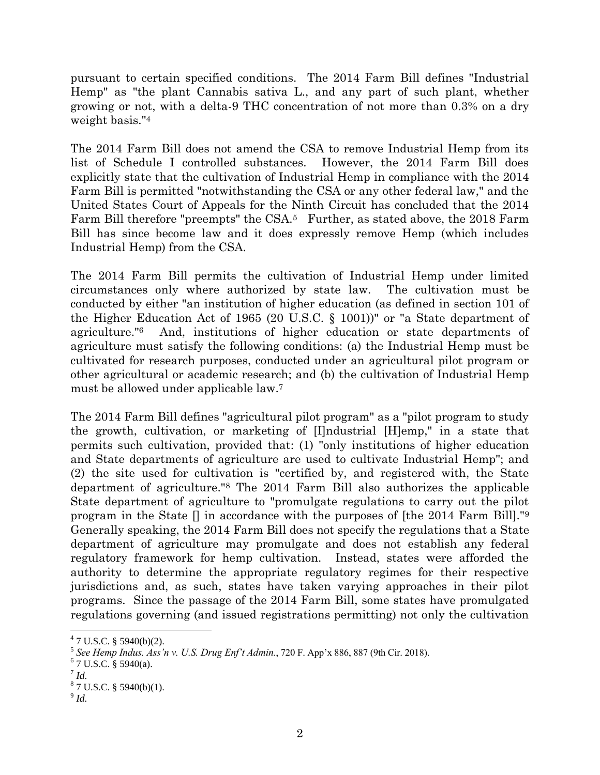pursuant to certain specified conditions. The 2014 Farm Bill defines "Industrial Hemp" as "the plant Cannabis sativa L., and any part of such plant, whether growing or not, with a delta-9 THC concentration of not more than 0.3% on a dry weight basis."<sup>4</sup>

The 2014 Farm Bill does not amend the CSA to remove Industrial Hemp from its list of Schedule I controlled substances. However, the 2014 Farm Bill does explicitly state that the cultivation of Industrial Hemp in compliance with the 2014 Farm Bill is permitted "notwithstanding the CSA or any other federal law," and the United States Court of Appeals for the Ninth Circuit has concluded that the 2014 Farm Bill therefore "preempts" the CSA.<sup>5</sup> Further, as stated above, the 2018 Farm Bill has since become law and it does expressly remove Hemp (which includes Industrial Hemp) from the CSA.

The 2014 Farm Bill permits the cultivation of Industrial Hemp under limited circumstances only where authorized by state law. The cultivation must be conducted by either "an institution of higher education (as defined in section 101 of the Higher Education Act of 1965 (20 U.S.C. § 1001))" or "a State department of agriculture."<sup>6</sup> And, institutions of higher education or state departments of agriculture must satisfy the following conditions: (a) the Industrial Hemp must be cultivated for research purposes, conducted under an agricultural pilot program or other agricultural or academic research; and (b) the cultivation of Industrial Hemp must be allowed under applicable law.<sup>7</sup>

The 2014 Farm Bill defines "agricultural pilot program" as a "pilot program to study the growth, cultivation, or marketing of [I]ndustrial [H]emp," in a state that permits such cultivation, provided that: (1) "only institutions of higher education and State departments of agriculture are used to cultivate Industrial Hemp"; and (2) the site used for cultivation is "certified by, and registered with, the State department of agriculture."<sup>8</sup> The 2014 Farm Bill also authorizes the applicable State department of agriculture to "promulgate regulations to carry out the pilot program in the State [] in accordance with the purposes of [the 2014 Farm Bill]."<sup>9</sup> Generally speaking, the 2014 Farm Bill does not specify the regulations that a State department of agriculture may promulgate and does not establish any federal regulatory framework for hemp cultivation. Instead, states were afforded the authority to determine the appropriate regulatory regimes for their respective jurisdictions and, as such, states have taken varying approaches in their pilot programs. Since the passage of the 2014 Farm Bill, some states have promulgated regulations governing (and issued registrations permitting) not only the cultivation

l

 $47$  U.S.C. § 5940(b)(2).

<sup>5</sup> *See Hemp Indus. Ass'n v. U.S. Drug Enf't Admin.*, 720 F. App'x 886, 887 (9th Cir. 2018).

 $6$  7 U.S.C. § 5940(a).

<sup>7</sup> *Id.*

 $8^8$  7 U.S.C. § 5940(b)(1).

<sup>9</sup> *Id.*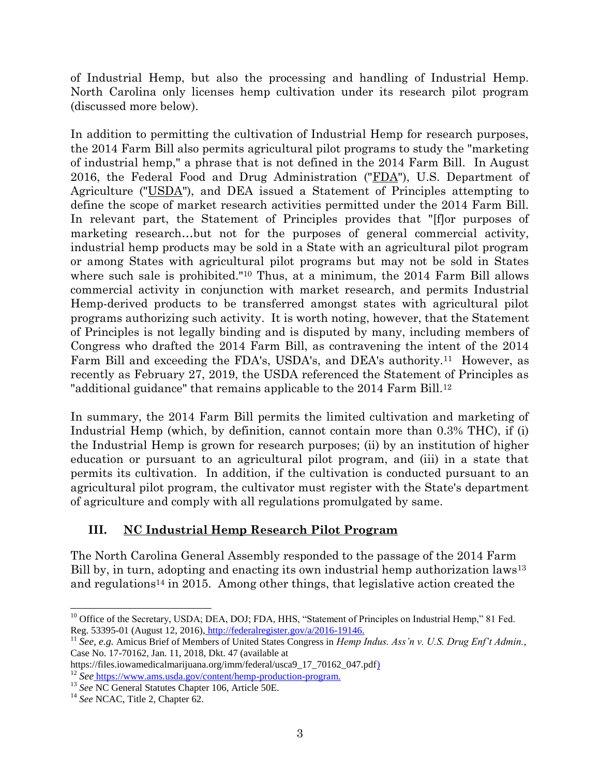of Industrial Hemp, but also the processing and handling of Industrial Hemp. North Carolina only licenses hemp cultivation under its research pilot program (discussed more below).

In addition to permitting the cultivation of Industrial Hemp for research purposes, the 2014 Farm Bill also permits agricultural pilot programs to study the "marketing of industrial hemp," a phrase that is not defined in the 2014 Farm Bill. In August 2016, the Federal Food and Drug Administration ("FDA"), U.S. Department of Agriculture ("USDA"), and DEA issued a Statement of Principles attempting to define the scope of market research activities permitted under the 2014 Farm Bill. In relevant part, the Statement of Principles provides that "[f]or purposes of marketing research…but not for the purposes of general commercial activity, industrial hemp products may be sold in a State with an agricultural pilot program or among States with agricultural pilot programs but may not be sold in States where such sale is prohibited."<sup>10</sup> Thus, at a minimum, the 2014 Farm Bill allows commercial activity in conjunction with market research, and permits Industrial Hemp-derived products to be transferred amongst states with agricultural pilot programs authorizing such activity. It is worth noting, however, that the Statement of Principles is not legally binding and is disputed by many, including members of Congress who drafted the 2014 Farm Bill, as contravening the intent of the 2014 Farm Bill and exceeding the FDA's, USDA's, and DEA's authority.11 However, as recently as February 27, 2019, the USDA referenced the Statement of Principles as "additional guidance" that remains applicable to the 2014 Farm Bill.<sup>12</sup>

In summary, the 2014 Farm Bill permits the limited cultivation and marketing of Industrial Hemp (which, by definition, cannot contain more than 0.3% THC), if (i) the Industrial Hemp is grown for research purposes; (ii) by an institution of higher education or pursuant to an agricultural pilot program, and (iii) in a state that permits its cultivation. In addition, if the cultivation is conducted pursuant to an agricultural pilot program, the cultivator must register with the State's department of agriculture and comply with all regulations promulgated by same.

# **III. NC Industrial Hemp Research Pilot Program**

The North Carolina General Assembly responded to the passage of the 2014 Farm Bill by, in turn, adopting and enacting its own industrial hemp authorization laws<sup>13</sup> and regulations<sup>14</sup> in 2015. Among other things, that legislative action created the

 $\overline{a}$ 

<sup>&</sup>lt;sup>10</sup> Office of the Secretary, USDA; DEA, DOJ; FDA, HHS, "Statement of Principles on Industrial Hemp," 81 Fed. Reg. 53395-01 (August 12, 2016), http://federalregister.gov/a/2016-19146.

<sup>11</sup> *See, e.g.* Amicus Brief of Members of United States Congress in *Hemp Indus. Ass'n v. U.S. Drug Enf't Admin.*, Case No. 17-70162, Jan. 11, 2018, Dkt. 47 (available at

https://files.iowamedicalmarijuana.org/imm/federal/usca9\_17\_70162\_047.pdf) <sup>12</sup> *See* https://www.ams.usda.gov/content/hemp-production-program.

<sup>13</sup> *See* NC General Statutes Chapter 106, Article 50E.

<sup>&</sup>lt;sup>14</sup> See NCAC, Title 2, Chapter 62.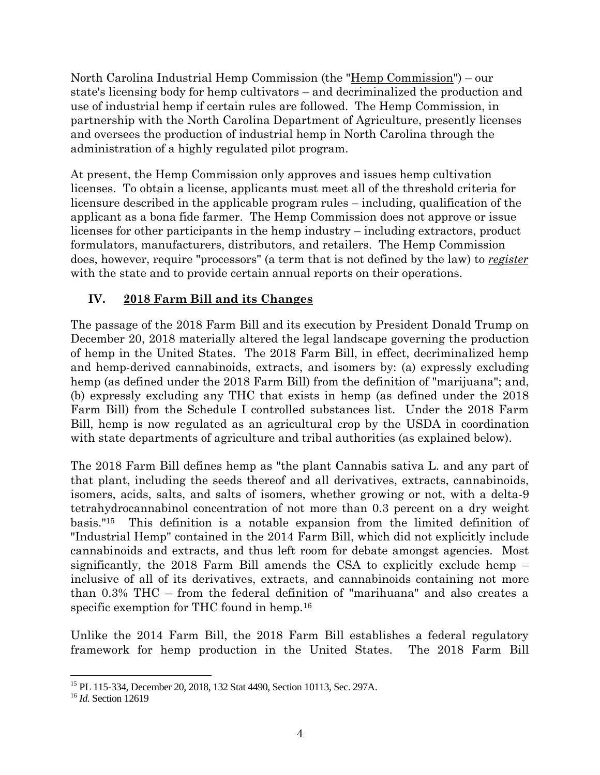North Carolina Industrial Hemp Commission (the "Hemp Commission") – our state's licensing body for hemp cultivators – and decriminalized the production and use of industrial hemp if certain rules are followed. The Hemp Commission, in partnership with the North Carolina Department of Agriculture, presently licenses and oversees the production of industrial hemp in North Carolina through the administration of a highly regulated pilot program.

At present, the Hemp Commission only approves and issues hemp cultivation licenses. To obtain a license, applicants must meet all of the threshold criteria for licensure described in the applicable program rules – including, qualification of the applicant as a bona fide farmer. The Hemp Commission does not approve or issue licenses for other participants in the hemp industry – including extractors, product formulators, manufacturers, distributors, and retailers. The Hemp Commission does, however, require "processors" (a term that is not defined by the law) to *register* with the state and to provide certain annual reports on their operations.

### **IV. 2018 Farm Bill and its Changes**

The passage of the 2018 Farm Bill and its execution by President Donald Trump on December 20, 2018 materially altered the legal landscape governing the production of hemp in the United States. The 2018 Farm Bill, in effect, decriminalized hemp and hemp-derived cannabinoids, extracts, and isomers by: (a) expressly excluding hemp (as defined under the 2018 Farm Bill) from the definition of "marijuana"; and, (b) expressly excluding any THC that exists in hemp (as defined under the 2018 Farm Bill) from the Schedule I controlled substances list. Under the 2018 Farm Bill, hemp is now regulated as an agricultural crop by the USDA in coordination with state departments of agriculture and tribal authorities (as explained below).

The 2018 Farm Bill defines hemp as "the plant Cannabis sativa L. and any part of that plant, including the seeds thereof and all derivatives, extracts, cannabinoids, isomers, acids, salts, and salts of isomers, whether growing or not, with a delta-9 tetrahydrocannabinol concentration of not more than 0.3 percent on a dry weight basis."15 This definition is a notable expansion from the limited definition of "Industrial Hemp" contained in the 2014 Farm Bill, which did not explicitly include cannabinoids and extracts, and thus left room for debate amongst agencies. Most significantly, the 2018 Farm Bill amends the CSA to explicitly exclude hemp – inclusive of all of its derivatives, extracts, and cannabinoids containing not more than 0.3% THC – from the federal definition of "marihuana" and also creates a specific exemption for THC found in hemp.<sup>16</sup>

Unlike the 2014 Farm Bill, the 2018 Farm Bill establishes a federal regulatory framework for hemp production in the United States. The 2018 Farm Bill

 $\overline{a}$ 

<sup>&</sup>lt;sup>15</sup> PL 115-334, December 20, 2018, 132 Stat 4490, Section 10113, Sec. 297A.

<sup>16</sup> *Id.* Section 12619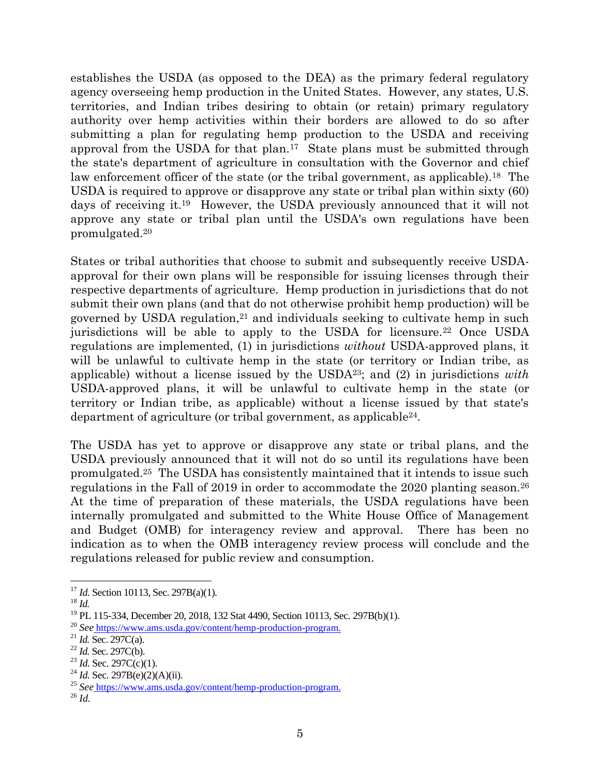establishes the USDA (as opposed to the DEA) as the primary federal regulatory agency overseeing hemp production in the United States. However, any states, U.S. territories, and Indian tribes desiring to obtain (or retain) primary regulatory authority over hemp activities within their borders are allowed to do so after submitting a plan for regulating hemp production to the USDA and receiving approval from the USDA for that plan.<sup>17</sup> State plans must be submitted through the state's department of agriculture in consultation with the Governor and chief law enforcement officer of the state (or the tribal government, as applicable).<sup>18</sup> The USDA is required to approve or disapprove any state or tribal plan within sixty (60) days of receiving it.19 However, the USDA previously announced that it will not approve any state or tribal plan until the USDA's own regulations have been promulgated.<sup>20</sup>

States or tribal authorities that choose to submit and subsequently receive USDAapproval for their own plans will be responsible for issuing licenses through their respective departments of agriculture. Hemp production in jurisdictions that do not submit their own plans (and that do not otherwise prohibit hemp production) will be governed by USDA regulation,<sup>21</sup> and individuals seeking to cultivate hemp in such jurisdictions will be able to apply to the USDA for licensure.<sup>22</sup> Once USDA regulations are implemented, (1) in jurisdictions *without* USDA-approved plans, it will be unlawful to cultivate hemp in the state (or territory or Indian tribe, as applicable) without a license issued by the USDA23; and (2) in jurisdictions *with* USDA-approved plans, it will be unlawful to cultivate hemp in the state (or territory or Indian tribe, as applicable) without a license issued by that state's department of agriculture (or tribal government, as applicable24.

The USDA has yet to approve or disapprove any state or tribal plans, and the USDA previously announced that it will not do so until its regulations have been promulgated.<sup>25</sup> The USDA has consistently maintained that it intends to issue such regulations in the Fall of 2019 in order to accommodate the 2020 planting season.<sup>26</sup> At the time of preparation of these materials, the USDA regulations have been internally promulgated and submitted to the White House Office of Management and Budget (OMB) for interagency review and approval. There has been no indication as to when the OMB interagency review process will conclude and the regulations released for public review and consumption.

l

<sup>&</sup>lt;sup>17</sup> *Id.* Section 10113, Sec. 297B(a)(1).

<sup>18</sup> *Id.*

<sup>&</sup>lt;sup>19</sup> PL 115-334, December 20, 2018, 132 Stat 4490, Section 10113, Sec. 297B(b)(1).

<sup>20</sup> *See* https://www.ams.usda.gov/content/hemp-production-program.

<sup>21</sup> *Id.* Sec. 297C(a).

<sup>22</sup> *Id.* Sec. 297C(b).

<sup>&</sup>lt;sup>23</sup> *Id.* Sec. 297C(c)(1).

<sup>&</sup>lt;sup>24</sup> *Id.* Sec. 297B(e)(2)(A)(ii).

<sup>25</sup> *See* https://www.ams.usda.gov/content/hemp-production-program.

<sup>26</sup> *Id.*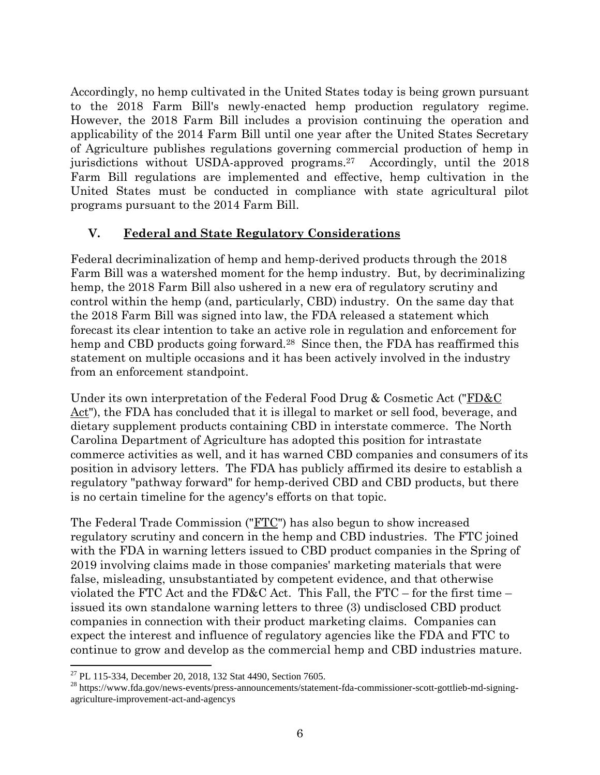Accordingly, no hemp cultivated in the United States today is being grown pursuant to the 2018 Farm Bill's newly-enacted hemp production regulatory regime. However, the 2018 Farm Bill includes a provision continuing the operation and applicability of the 2014 Farm Bill until one year after the United States Secretary of Agriculture publishes regulations governing commercial production of hemp in jurisdictions without USDA-approved programs.27 Accordingly, until the 2018 Farm Bill regulations are implemented and effective, hemp cultivation in the United States must be conducted in compliance with state agricultural pilot programs pursuant to the 2014 Farm Bill.

#### **V. Federal and State Regulatory Considerations**

Federal decriminalization of hemp and hemp-derived products through the 2018 Farm Bill was a watershed moment for the hemp industry. But, by decriminalizing hemp, the 2018 Farm Bill also ushered in a new era of regulatory scrutiny and control within the hemp (and, particularly, CBD) industry. On the same day that the 2018 Farm Bill was signed into law, the FDA released a statement which forecast its clear intention to take an active role in regulation and enforcement for hemp and CBD products going forward.<sup>28</sup> Since then, the FDA has reaffirmed this statement on multiple occasions and it has been actively involved in the industry from an enforcement standpoint.

Under its own interpretation of the Federal Food Drug & Cosmetic Act ("FD&C Act"), the FDA has concluded that it is illegal to market or sell food, beverage, and dietary supplement products containing CBD in interstate commerce. The North Carolina Department of Agriculture has adopted this position for intrastate commerce activities as well, and it has warned CBD companies and consumers of its position in advisory letters. The FDA has publicly affirmed its desire to establish a regulatory "pathway forward" for hemp-derived CBD and CBD products, but there is no certain timeline for the agency's efforts on that topic.

The Federal Trade Commission ("FTC") has also begun to show increased regulatory scrutiny and concern in the hemp and CBD industries. The FTC joined with the FDA in warning letters issued to CBD product companies in the Spring of 2019 involving claims made in those companies' marketing materials that were false, misleading, unsubstantiated by competent evidence, and that otherwise violated the FTC Act and the FD&C Act. This Fall, the FTC – for the first time – issued its own standalone warning letters to three (3) undisclosed CBD product companies in connection with their product marketing claims. Companies can expect the interest and influence of regulatory agencies like the FDA and FTC to continue to grow and develop as the commercial hemp and CBD industries mature.

l <sup>27</sup> PL 115-334, December 20, 2018, 132 Stat 4490, Section 7605.

<sup>28</sup> https://www.fda.gov/news-events/press-announcements/statement-fda-commissioner-scott-gottlieb-md-signingagriculture-improvement-act-and-agencys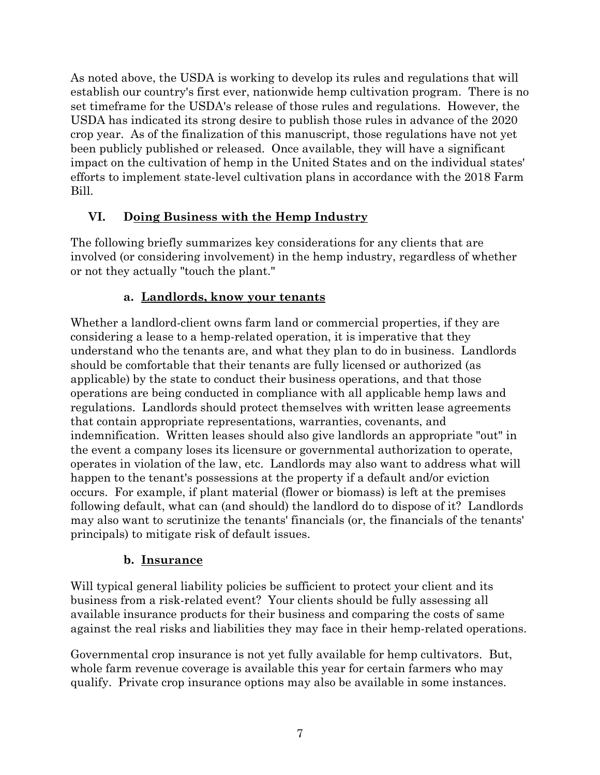As noted above, the USDA is working to develop its rules and regulations that will establish our country's first ever, nationwide hemp cultivation program. There is no set timeframe for the USDA's release of those rules and regulations. However, the USDA has indicated its strong desire to publish those rules in advance of the 2020 crop year. As of the finalization of this manuscript, those regulations have not yet been publicly published or released. Once available, they will have a significant impact on the cultivation of hemp in the United States and on the individual states' efforts to implement state-level cultivation plans in accordance with the 2018 Farm Bill.

### **VI. Doing Business with the Hemp Industry**

The following briefly summarizes key considerations for any clients that are involved (or considering involvement) in the hemp industry, regardless of whether or not they actually "touch the plant."

### **a. Landlords, know your tenants**

Whether a landlord-client owns farm land or commercial properties, if they are considering a lease to a hemp-related operation, it is imperative that they understand who the tenants are, and what they plan to do in business. Landlords should be comfortable that their tenants are fully licensed or authorized (as applicable) by the state to conduct their business operations, and that those operations are being conducted in compliance with all applicable hemp laws and regulations. Landlords should protect themselves with written lease agreements that contain appropriate representations, warranties, covenants, and indemnification. Written leases should also give landlords an appropriate "out" in the event a company loses its licensure or governmental authorization to operate, operates in violation of the law, etc. Landlords may also want to address what will happen to the tenant's possessions at the property if a default and/or eviction occurs. For example, if plant material (flower or biomass) is left at the premises following default, what can (and should) the landlord do to dispose of it? Landlords may also want to scrutinize the tenants' financials (or, the financials of the tenants' principals) to mitigate risk of default issues.

### **b. Insurance**

Will typical general liability policies be sufficient to protect your client and its business from a risk-related event? Your clients should be fully assessing all available insurance products for their business and comparing the costs of same against the real risks and liabilities they may face in their hemp-related operations.

Governmental crop insurance is not yet fully available for hemp cultivators. But, whole farm revenue coverage is available this year for certain farmers who may qualify. Private crop insurance options may also be available in some instances.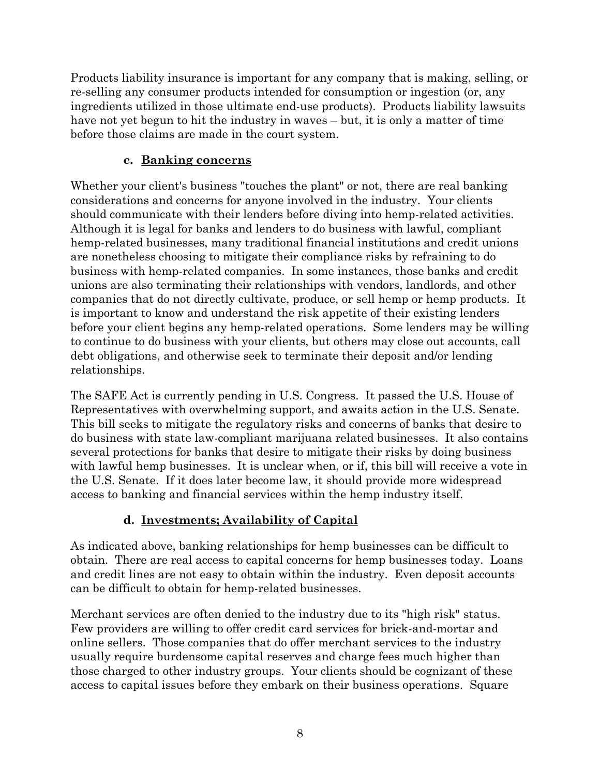Products liability insurance is important for any company that is making, selling, or re-selling any consumer products intended for consumption or ingestion (or, any ingredients utilized in those ultimate end-use products). Products liability lawsuits have not yet begun to hit the industry in waves – but, it is only a matter of time before those claims are made in the court system.

#### **c. Banking concerns**

Whether your client's business "touches the plant" or not, there are real banking considerations and concerns for anyone involved in the industry. Your clients should communicate with their lenders before diving into hemp-related activities. Although it is legal for banks and lenders to do business with lawful, compliant hemp-related businesses, many traditional financial institutions and credit unions are nonetheless choosing to mitigate their compliance risks by refraining to do business with hemp-related companies. In some instances, those banks and credit unions are also terminating their relationships with vendors, landlords, and other companies that do not directly cultivate, produce, or sell hemp or hemp products. It is important to know and understand the risk appetite of their existing lenders before your client begins any hemp-related operations. Some lenders may be willing to continue to do business with your clients, but others may close out accounts, call debt obligations, and otherwise seek to terminate their deposit and/or lending relationships.

The SAFE Act is currently pending in U.S. Congress. It passed the U.S. House of Representatives with overwhelming support, and awaits action in the U.S. Senate. This bill seeks to mitigate the regulatory risks and concerns of banks that desire to do business with state law-compliant marijuana related businesses. It also contains several protections for banks that desire to mitigate their risks by doing business with lawful hemp businesses. It is unclear when, or if, this bill will receive a vote in the U.S. Senate. If it does later become law, it should provide more widespread access to banking and financial services within the hemp industry itself.

### **d. Investments; Availability of Capital**

As indicated above, banking relationships for hemp businesses can be difficult to obtain. There are real access to capital concerns for hemp businesses today. Loans and credit lines are not easy to obtain within the industry. Even deposit accounts can be difficult to obtain for hemp-related businesses.

Merchant services are often denied to the industry due to its "high risk" status. Few providers are willing to offer credit card services for brick-and-mortar and online sellers. Those companies that do offer merchant services to the industry usually require burdensome capital reserves and charge fees much higher than those charged to other industry groups. Your clients should be cognizant of these access to capital issues before they embark on their business operations. Square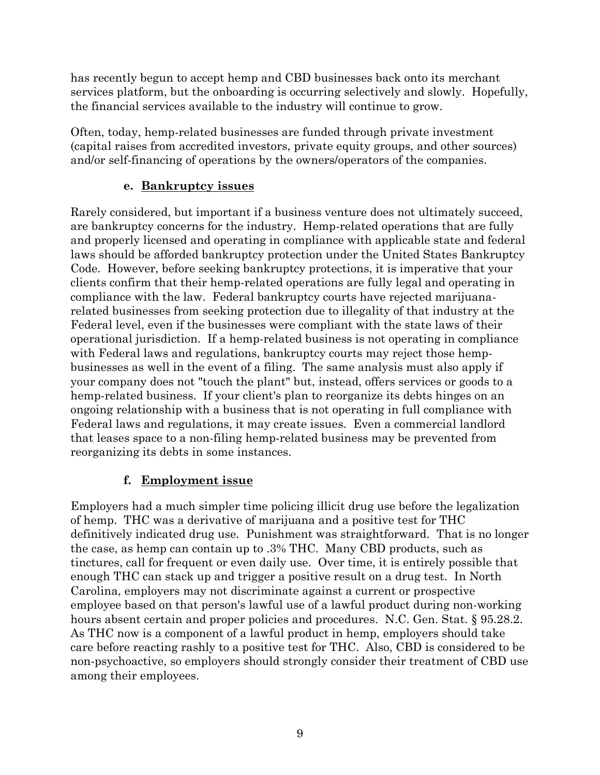has recently begun to accept hemp and CBD businesses back onto its merchant services platform, but the onboarding is occurring selectively and slowly. Hopefully, the financial services available to the industry will continue to grow.

Often, today, hemp-related businesses are funded through private investment (capital raises from accredited investors, private equity groups, and other sources) and/or self-financing of operations by the owners/operators of the companies.

#### **e. Bankruptcy issues**

Rarely considered, but important if a business venture does not ultimately succeed, are bankruptcy concerns for the industry. Hemp-related operations that are fully and properly licensed and operating in compliance with applicable state and federal laws should be afforded bankruptcy protection under the United States Bankruptcy Code. However, before seeking bankruptcy protections, it is imperative that your clients confirm that their hemp-related operations are fully legal and operating in compliance with the law. Federal bankruptcy courts have rejected marijuanarelated businesses from seeking protection due to illegality of that industry at the Federal level, even if the businesses were compliant with the state laws of their operational jurisdiction. If a hemp-related business is not operating in compliance with Federal laws and regulations, bankruptcy courts may reject those hempbusinesses as well in the event of a filing. The same analysis must also apply if your company does not "touch the plant" but, instead, offers services or goods to a hemp-related business. If your client's plan to reorganize its debts hinges on an ongoing relationship with a business that is not operating in full compliance with Federal laws and regulations, it may create issues. Even a commercial landlord that leases space to a non-filing hemp-related business may be prevented from reorganizing its debts in some instances.

### **f. Employment issue**

Employers had a much simpler time policing illicit drug use before the legalization of hemp. THC was a derivative of marijuana and a positive test for THC definitively indicated drug use. Punishment was straightforward. That is no longer the case, as hemp can contain up to .3% THC. Many CBD products, such as tinctures, call for frequent or even daily use. Over time, it is entirely possible that enough THC can stack up and trigger a positive result on a drug test. In North Carolina, employers may not discriminate against a current or prospective employee based on that person's lawful use of a lawful product during non-working hours absent certain and proper policies and procedures. N.C. Gen. Stat. § 95.28.2. As THC now is a component of a lawful product in hemp, employers should take care before reacting rashly to a positive test for THC. Also, CBD is considered to be non-psychoactive, so employers should strongly consider their treatment of CBD use among their employees.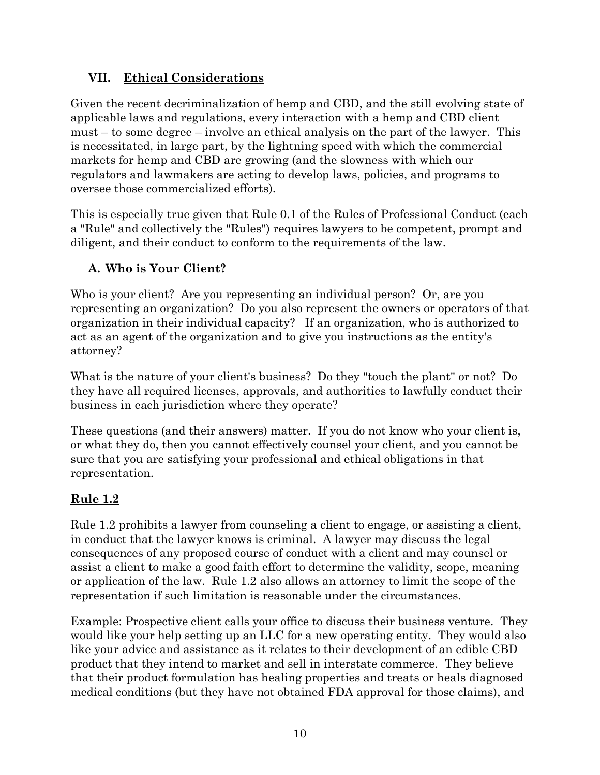### **VII. Ethical Considerations**

Given the recent decriminalization of hemp and CBD, and the still evolving state of applicable laws and regulations, every interaction with a hemp and CBD client must – to some degree – involve an ethical analysis on the part of the lawyer. This is necessitated, in large part, by the lightning speed with which the commercial markets for hemp and CBD are growing (and the slowness with which our regulators and lawmakers are acting to develop laws, policies, and programs to oversee those commercialized efforts).

This is especially true given that Rule 0.1 of the Rules of Professional Conduct (each a "Rule" and collectively the "Rules") requires lawyers to be competent, prompt and diligent, and their conduct to conform to the requirements of the law.

### **A. Who is Your Client?**

Who is your client? Are you representing an individual person? Or, are you representing an organization? Do you also represent the owners or operators of that organization in their individual capacity? If an organization, who is authorized to act as an agent of the organization and to give you instructions as the entity's attorney?

What is the nature of your client's business? Do they "touch the plant" or not? Do they have all required licenses, approvals, and authorities to lawfully conduct their business in each jurisdiction where they operate?

These questions (and their answers) matter. If you do not know who your client is, or what they do, then you cannot effectively counsel your client, and you cannot be sure that you are satisfying your professional and ethical obligations in that representation.

### **Rule 1.2**

Rule 1.2 prohibits a lawyer from counseling a client to engage, or assisting a client, in conduct that the lawyer knows is criminal. A lawyer may discuss the legal consequences of any proposed course of conduct with a client and may counsel or assist a client to make a good faith effort to determine the validity, scope, meaning or application of the law. Rule 1.2 also allows an attorney to limit the scope of the representation if such limitation is reasonable under the circumstances.

Example: Prospective client calls your office to discuss their business venture. They would like your help setting up an LLC for a new operating entity. They would also like your advice and assistance as it relates to their development of an edible CBD product that they intend to market and sell in interstate commerce. They believe that their product formulation has healing properties and treats or heals diagnosed medical conditions (but they have not obtained FDA approval for those claims), and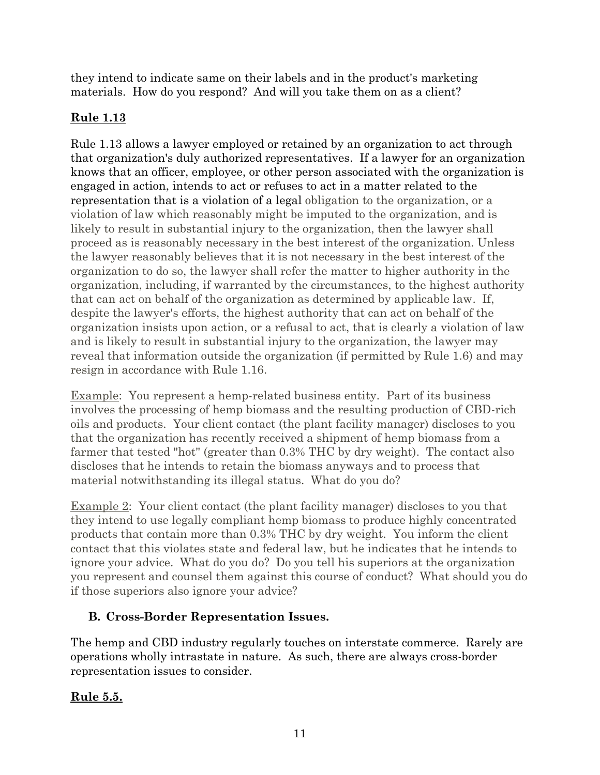they intend to indicate same on their labels and in the product's marketing materials. How do you respond? And will you take them on as a client?

# **Rule 1.13**

Rule 1.13 allows a lawyer employed or retained by an organization to act through that organization's duly authorized representatives. If a lawyer for an organization knows that an officer, employee, or other person associated with the organization is engaged in action, intends to act or refuses to act in a matter related to the representation that is a violation of a legal obligation to the organization, or a violation of law which reasonably might be imputed to the organization, and is likely to result in substantial injury to the organization, then the lawyer shall proceed as is reasonably necessary in the best interest of the organization. Unless the lawyer reasonably believes that it is not necessary in the best interest of the organization to do so, the lawyer shall refer the matter to higher authority in the organization, including, if warranted by the circumstances, to the highest authority that can act on behalf of the organization as determined by applicable law. If, despite the lawyer's efforts, the highest authority that can act on behalf of the organization insists upon action, or a refusal to act, that is clearly a violation of law and is likely to result in substantial injury to the organization, the lawyer may reveal that information outside the organization (if permitted by Rule 1.6) and may resign in accordance with Rule 1.16.

Example: You represent a hemp-related business entity. Part of its business involves the processing of hemp biomass and the resulting production of CBD-rich oils and products. Your client contact (the plant facility manager) discloses to you that the organization has recently received a shipment of hemp biomass from a farmer that tested "hot" (greater than 0.3% THC by dry weight). The contact also discloses that he intends to retain the biomass anyways and to process that material notwithstanding its illegal status. What do you do?

Example 2: Your client contact (the plant facility manager) discloses to you that they intend to use legally compliant hemp biomass to produce highly concentrated products that contain more than 0.3% THC by dry weight. You inform the client contact that this violates state and federal law, but he indicates that he intends to ignore your advice. What do you do? Do you tell his superiors at the organization you represent and counsel them against this course of conduct? What should you do if those superiors also ignore your advice?

# **B. Cross-Border Representation Issues.**

The hemp and CBD industry regularly touches on interstate commerce. Rarely are operations wholly intrastate in nature. As such, there are always cross-border representation issues to consider.

# **Rule 5.5.**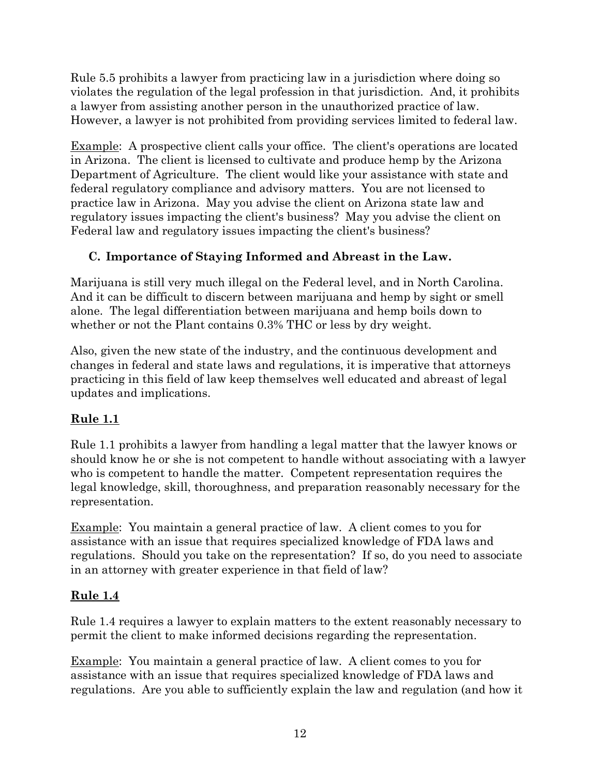Rule 5.5 prohibits a lawyer from practicing law in a jurisdiction where doing so violates the regulation of the legal profession in that jurisdiction. And, it prohibits a lawyer from assisting another person in the unauthorized practice of law. However, a lawyer is not prohibited from providing services limited to federal law.

Example: A prospective client calls your office. The client's operations are located in Arizona. The client is licensed to cultivate and produce hemp by the Arizona Department of Agriculture. The client would like your assistance with state and federal regulatory compliance and advisory matters. You are not licensed to practice law in Arizona. May you advise the client on Arizona state law and regulatory issues impacting the client's business? May you advise the client on Federal law and regulatory issues impacting the client's business?

### **C. Importance of Staying Informed and Abreast in the Law.**

Marijuana is still very much illegal on the Federal level, and in North Carolina. And it can be difficult to discern between marijuana and hemp by sight or smell alone. The legal differentiation between marijuana and hemp boils down to whether or not the Plant contains 0.3% THC or less by dry weight.

Also, given the new state of the industry, and the continuous development and changes in federal and state laws and regulations, it is imperative that attorneys practicing in this field of law keep themselves well educated and abreast of legal updates and implications.

# **Rule 1.1**

Rule 1.1 prohibits a lawyer from handling a legal matter that the lawyer knows or should know he or she is not competent to handle without associating with a lawyer who is competent to handle the matter. Competent representation requires the legal knowledge, skill, thoroughness, and preparation reasonably necessary for the representation.

Example: You maintain a general practice of law. A client comes to you for assistance with an issue that requires specialized knowledge of FDA laws and regulations. Should you take on the representation? If so, do you need to associate in an attorney with greater experience in that field of law?

### **Rule 1.4**

Rule 1.4 requires a lawyer to explain matters to the extent reasonably necessary to permit the client to make informed decisions regarding the representation.

Example: You maintain a general practice of law. A client comes to you for assistance with an issue that requires specialized knowledge of FDA laws and regulations. Are you able to sufficiently explain the law and regulation (and how it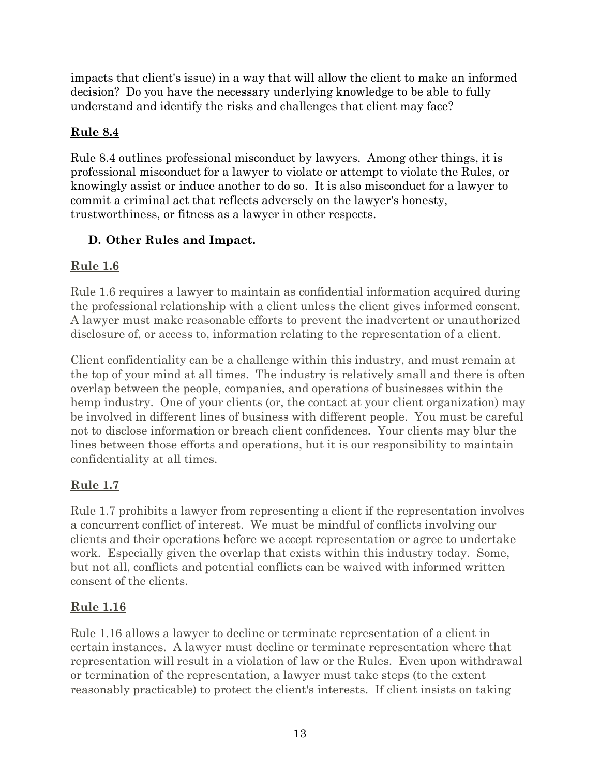impacts that client's issue) in a way that will allow the client to make an informed decision? Do you have the necessary underlying knowledge to be able to fully understand and identify the risks and challenges that client may face?

## **Rule 8.4**

Rule 8.4 outlines professional misconduct by lawyers. Among other things, it is professional misconduct for a lawyer to violate or attempt to violate the Rules, or knowingly assist or induce another to do so. It is also misconduct for a lawyer to commit a criminal act that reflects adversely on the lawyer's honesty, trustworthiness, or fitness as a lawyer in other respects.

# **D. Other Rules and Impact.**

# **Rule 1.6**

Rule 1.6 requires a lawyer to maintain as confidential information acquired during the professional relationship with a client unless the client gives informed consent. A lawyer must make reasonable efforts to prevent the inadvertent or unauthorized disclosure of, or access to, information relating to the representation of a client.

Client confidentiality can be a challenge within this industry, and must remain at the top of your mind at all times. The industry is relatively small and there is often overlap between the people, companies, and operations of businesses within the hemp industry. One of your clients (or, the contact at your client organization) may be involved in different lines of business with different people. You must be careful not to disclose information or breach client confidences. Your clients may blur the lines between those efforts and operations, but it is our responsibility to maintain confidentiality at all times.

# **Rule 1.7**

Rule 1.7 prohibits a lawyer from representing a client if the representation involves a concurrent conflict of interest. We must be mindful of conflicts involving our clients and their operations before we accept representation or agree to undertake work. Especially given the overlap that exists within this industry today. Some, but not all, conflicts and potential conflicts can be waived with informed written consent of the clients.

# **Rule 1.16**

Rule 1.16 allows a lawyer to decline or terminate representation of a client in certain instances. A lawyer must decline or terminate representation where that representation will result in a violation of law or the Rules. Even upon withdrawal or termination of the representation, a lawyer must take steps (to the extent reasonably practicable) to protect the client's interests. If client insists on taking